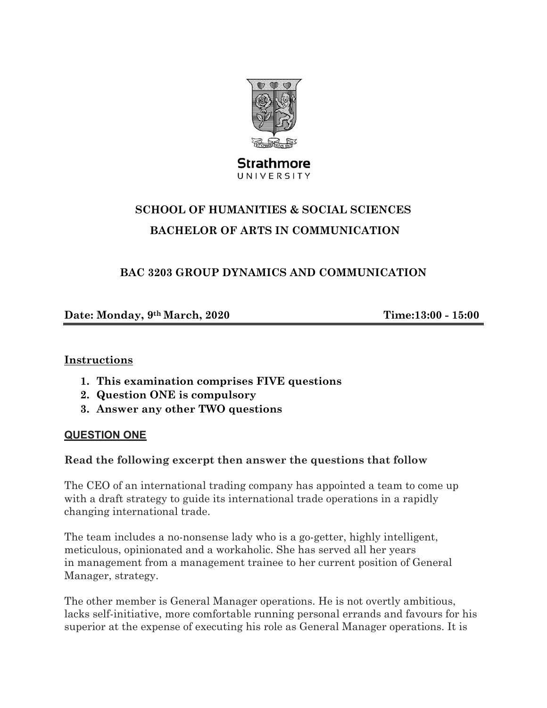

**Strathmore** UNIVERSITY

# **SCHOOL OF HUMANITIES & SOCIAL SCIENCES BACHELOR OF ARTS IN COMMUNICATION**

# **BAC 3203 GROUP DYNAMICS AND COMMUNICATION**

**Date: Monday, 9th March, 2020 Time:13:00 - 15:00** 

## **Instructions**

- **1. This examination comprises FIVE questions**
- **2. Question ONE is compulsory**
- **3. Answer any other TWO questions**

## **QUESTION ONE**

## **Read the following excerpt then answer the questions that follow**

The CEO of an international trading company has appointed a team to come up with a draft strategy to guide its international trade operations in a rapidly changing international trade.

The team includes a no-nonsense lady who is a go-getter, highly intelligent, meticulous, opinionated and a workaholic. She has served all her years in management from a management trainee to her current position of General Manager, strategy.

The other member is General Manager operations. He is not overtly ambitious, lacks self-initiative, more comfortable running personal errands and favours for his superior at the expense of executing his role as General Manager operations. It is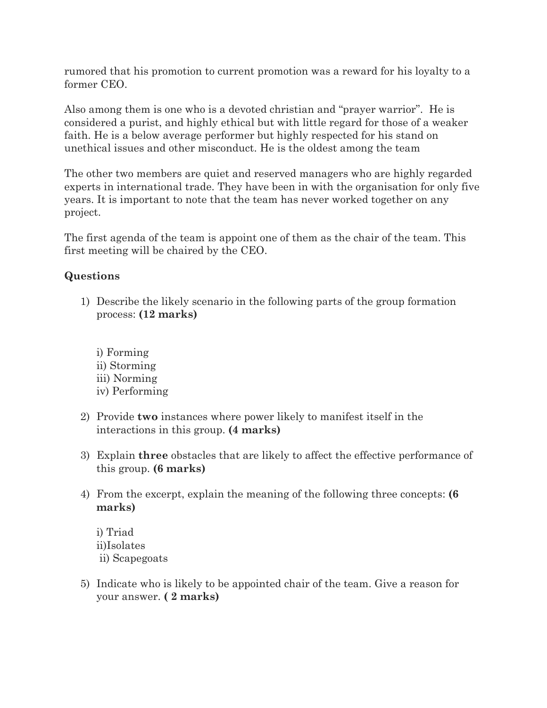rumored that his promotion to current promotion was a reward for his loyalty to a former CEO.

Also among them is one who is a devoted christian and "prayer warrior". He is considered a purist, and highly ethical but with little regard for those of a weaker faith. He is a below average performer but highly respected for his stand on unethical issues and other misconduct. He is the oldest among the team

The other two members are quiet and reserved managers who are highly regarded experts in international trade. They have been in with the organisation for only five years. It is important to note that the team has never worked together on any project.

The first agenda of the team is appoint one of them as the chair of the team. This first meeting will be chaired by the CEO.

# **Questions**

- 1) Describe the likely scenario in the following parts of the group formation process: **(12 marks)**
	- i) Forming ii) Storming iii) Norming iv) Performing
- 2) Provide **two** instances where power likely to manifest itself in the interactions in this group. **(4 marks)**
- 3) Explain **three** obstacles that are likely to affect the effective performance of this group. **(6 marks)**
- 4) From the excerpt, explain the meaning of the following three concepts: **(6 marks)**

i) Triad ii)Isolates ii) Scapegoats

5) Indicate who is likely to be appointed chair of the team. Give a reason for your answer. **( 2 marks)**